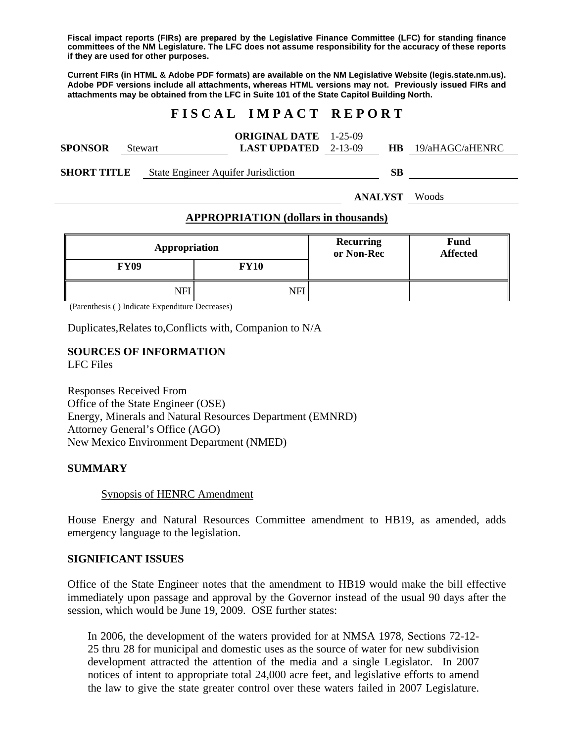**Fiscal impact reports (FIRs) are prepared by the Legislative Finance Committee (LFC) for standing finance committees of the NM Legislature. The LFC does not assume responsibility for the accuracy of these reports if they are used for other purposes.** 

**Current FIRs (in HTML & Adobe PDF formats) are available on the NM Legislative Website (legis.state.nm.us). Adobe PDF versions include all attachments, whereas HTML versions may not. Previously issued FIRs and attachments may be obtained from the LFC in Suite 101 of the State Capitol Building North.**

# **F I S C A L I M P A C T R E P O R T**

|                    |                |                                            | <b>ORIGINAL DATE</b> 1-25-09  |    |  |                           |
|--------------------|----------------|--------------------------------------------|-------------------------------|----|--|---------------------------|
| <b>SPONSOR</b>     | <b>Stewart</b> |                                            | <b>LAST UPDATED</b> $2-13-09$ |    |  | <b>HB</b> 19/aHAGC/aHENRC |
|                    |                |                                            |                               |    |  |                           |
| <b>SHORT TITLE</b> |                | <b>State Engineer Aquifer Jurisdiction</b> |                               | SВ |  |                           |

**ANALYST** Woods

#### **APPROPRIATION (dollars in thousands)**

| Appropriation |             | <b>Recurring</b><br>or Non-Rec | <b>Fund</b><br><b>Affected</b> |
|---------------|-------------|--------------------------------|--------------------------------|
| <b>FY09</b>   | <b>FY10</b> |                                |                                |
| <b>NFI</b>    | NFI         |                                |                                |

(Parenthesis ( ) Indicate Expenditure Decreases)

Duplicates,Relates to,Conflicts with, Companion to N/A

**SOURCES OF INFORMATION**  LFC Files

Responses Received From Office of the State Engineer (OSE) Energy, Minerals and Natural Resources Department (EMNRD) Attorney General's Office (AGO) New Mexico Environment Department (NMED)

#### **SUMMARY**

#### Synopsis of HENRC Amendment

House Energy and Natural Resources Committee amendment to HB19, as amended, adds emergency language to the legislation.

#### **SIGNIFICANT ISSUES**

Office of the State Engineer notes that the amendment to HB19 would make the bill effective immediately upon passage and approval by the Governor instead of the usual 90 days after the session, which would be June 19, 2009. OSE further states:

In 2006, the development of the waters provided for at NMSA 1978, Sections 72-12- 25 thru 28 for municipal and domestic uses as the source of water for new subdivision development attracted the attention of the media and a single Legislator. In 2007 notices of intent to appropriate total 24,000 acre feet, and legislative efforts to amend the law to give the state greater control over these waters failed in 2007 Legislature.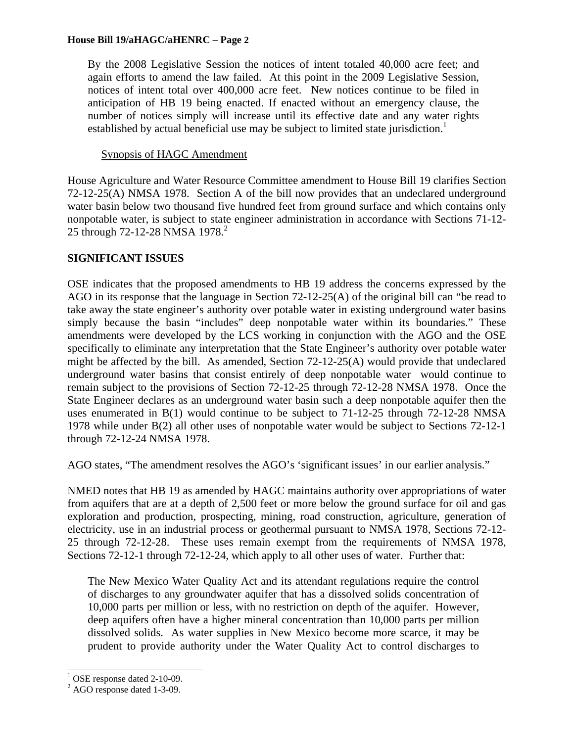By the 2008 Legislative Session the notices of intent totaled 40,000 acre feet; and again efforts to amend the law failed. At this point in the 2009 Legislative Session, notices of intent total over 400,000 acre feet. New notices continue to be filed in anticipation of HB 19 being enacted. If enacted without an emergency clause, the number of notices simply will increase until its effective date and any water rights established by actual beneficial use may be subject to limited state jurisdiction.<sup>1</sup>

## Synopsis of HAGC Amendment

House Agriculture and Water Resource Committee amendment to House Bill 19 clarifies Section 72-12-25(A) NMSA 1978. Section A of the bill now provides that an undeclared underground water basin below two thousand five hundred feet from ground surface and which contains only nonpotable water, is subject to state engineer administration in accordance with Sections 71-12- 25 through 72-12-28 NMSA 1978.<sup>2</sup>

# **SIGNIFICANT ISSUES**

OSE indicates that the proposed amendments to HB 19 address the concerns expressed by the AGO in its response that the language in Section 72-12-25(A) of the original bill can "be read to take away the state engineer's authority over potable water in existing underground water basins simply because the basin "includes" deep nonpotable water within its boundaries." These amendments were developed by the LCS working in conjunction with the AGO and the OSE specifically to eliminate any interpretation that the State Engineer's authority over potable water might be affected by the bill. As amended, Section 72-12-25(A) would provide that undeclared underground water basins that consist entirely of deep nonpotable water would continue to remain subject to the provisions of Section 72-12-25 through 72-12-28 NMSA 1978. Once the State Engineer declares as an underground water basin such a deep nonpotable aquifer then the uses enumerated in B(1) would continue to be subject to 71-12-25 through 72-12-28 NMSA 1978 while under B(2) all other uses of nonpotable water would be subject to Sections 72-12-1 through 72-12-24 NMSA 1978.

AGO states, "The amendment resolves the AGO's 'significant issues' in our earlier analysis."

NMED notes that HB 19 as amended by HAGC maintains authority over appropriations of water from aquifers that are at a depth of 2,500 feet or more below the ground surface for oil and gas exploration and production, prospecting, mining, road construction, agriculture, generation of electricity, use in an industrial process or geothermal pursuant to NMSA 1978, Sections 72-12- 25 through 72-12-28. These uses remain exempt from the requirements of NMSA 1978, Sections 72-12-1 through 72-12-24, which apply to all other uses of water. Further that:

The New Mexico Water Quality Act and its attendant regulations require the control of discharges to any groundwater aquifer that has a dissolved solids concentration of 10,000 parts per million or less, with no restriction on depth of the aquifer. However, deep aquifers often have a higher mineral concentration than 10,000 parts per million dissolved solids. As water supplies in New Mexico become more scarce, it may be prudent to provide authority under the Water Quality Act to control discharges to

<sup>&</sup>lt;sup>1</sup> OSE response dated 2-10-09.

<sup>2</sup> AGO response dated 1-3-09.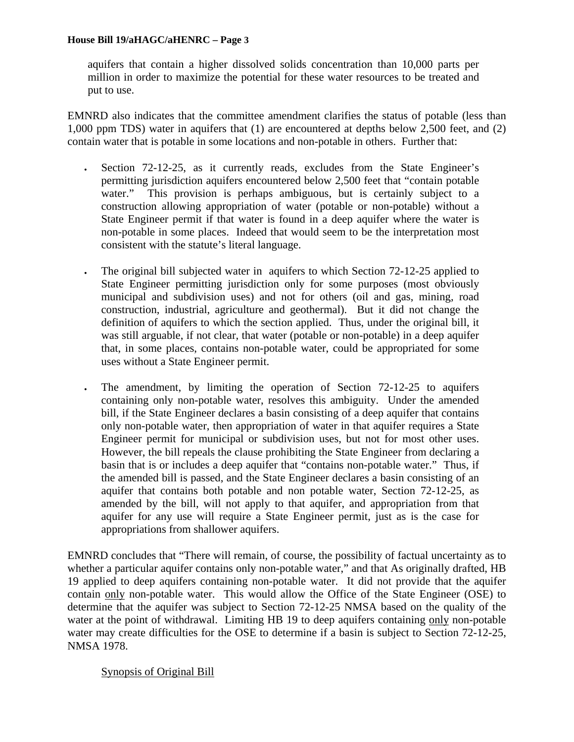aquifers that contain a higher dissolved solids concentration than 10,000 parts per million in order to maximize the potential for these water resources to be treated and put to use.

EMNRD also indicates that the committee amendment clarifies the status of potable (less than 1,000 ppm TDS) water in aquifers that (1) are encountered at depths below 2,500 feet, and (2) contain water that is potable in some locations and non-potable in others. Further that:

- Section 72-12-25, as it currently reads, excludes from the State Engineer's permitting jurisdiction aquifers encountered below 2,500 feet that "contain potable water." This provision is perhaps ambiguous, but is certainly subject to a construction allowing appropriation of water (potable or non-potable) without a State Engineer permit if that water is found in a deep aquifer where the water is non-potable in some places. Indeed that would seem to be the interpretation most consistent with the statute's literal language.
- The original bill subjected water in aquifers to which Section 72-12-25 applied to State Engineer permitting jurisdiction only for some purposes (most obviously municipal and subdivision uses) and not for others (oil and gas, mining, road construction, industrial, agriculture and geothermal). But it did not change the definition of aquifers to which the section applied. Thus, under the original bill, it was still arguable, if not clear, that water (potable or non-potable) in a deep aquifer that, in some places, contains non-potable water, could be appropriated for some uses without a State Engineer permit.
- The amendment, by limiting the operation of Section 72-12-25 to aquifers containing only non-potable water, resolves this ambiguity. Under the amended bill, if the State Engineer declares a basin consisting of a deep aquifer that contains only non-potable water, then appropriation of water in that aquifer requires a State Engineer permit for municipal or subdivision uses, but not for most other uses. However, the bill repeals the clause prohibiting the State Engineer from declaring a basin that is or includes a deep aquifer that "contains non-potable water." Thus, if the amended bill is passed, and the State Engineer declares a basin consisting of an aquifer that contains both potable and non potable water, Section 72-12-25, as amended by the bill, will not apply to that aquifer, and appropriation from that aquifer for any use will require a State Engineer permit, just as is the case for appropriations from shallower aquifers.

EMNRD concludes that "There will remain, of course, the possibility of factual uncertainty as to whether a particular aquifer contains only non-potable water," and that As originally drafted, HB 19 applied to deep aquifers containing non-potable water. It did not provide that the aquifer contain only non-potable water. This would allow the Office of the State Engineer (OSE) to determine that the aquifer was subject to Section 72-12-25 NMSA based on the quality of the water at the point of withdrawal. Limiting HB 19 to deep aquifers containing only non-potable water may create difficulties for the OSE to determine if a basin is subject to Section 72-12-25, NMSA 1978.

### Synopsis of Original Bill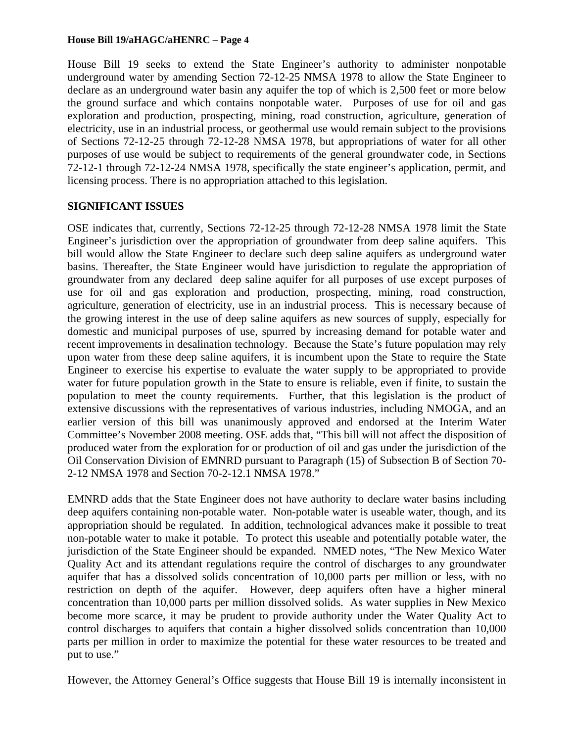House Bill 19 seeks to extend the State Engineer's authority to administer nonpotable underground water by amending Section 72-12-25 NMSA 1978 to allow the State Engineer to declare as an underground water basin any aquifer the top of which is 2,500 feet or more below the ground surface and which contains nonpotable water. Purposes of use for oil and gas exploration and production, prospecting, mining, road construction, agriculture, generation of electricity, use in an industrial process, or geothermal use would remain subject to the provisions of Sections 72-12-25 through 72-12-28 NMSA 1978, but appropriations of water for all other purposes of use would be subject to requirements of the general groundwater code, in Sections 72-12-1 through 72-12-24 NMSA 1978, specifically the state engineer's application, permit, and licensing process. There is no appropriation attached to this legislation.

## **SIGNIFICANT ISSUES**

OSE indicates that, currently, Sections 72-12-25 through 72-12-28 NMSA 1978 limit the State Engineer's jurisdiction over the appropriation of groundwater from deep saline aquifers. This bill would allow the State Engineer to declare such deep saline aquifers as underground water basins. Thereafter, the State Engineer would have jurisdiction to regulate the appropriation of groundwater from any declared deep saline aquifer for all purposes of use except purposes of use for oil and gas exploration and production, prospecting, mining, road construction, agriculture, generation of electricity, use in an industrial process. This is necessary because of the growing interest in the use of deep saline aquifers as new sources of supply, especially for domestic and municipal purposes of use, spurred by increasing demand for potable water and recent improvements in desalination technology. Because the State's future population may rely upon water from these deep saline aquifers, it is incumbent upon the State to require the State Engineer to exercise his expertise to evaluate the water supply to be appropriated to provide water for future population growth in the State to ensure is reliable, even if finite, to sustain the population to meet the county requirements. Further, that this legislation is the product of extensive discussions with the representatives of various industries, including NMOGA, and an earlier version of this bill was unanimously approved and endorsed at the Interim Water Committee's November 2008 meeting. OSE adds that, "This bill will not affect the disposition of produced water from the exploration for or production of oil and gas under the jurisdiction of the Oil Conservation Division of EMNRD pursuant to Paragraph (15) of Subsection B of Section 70- 2-12 NMSA 1978 and Section 70-2-12.1 NMSA 1978."

EMNRD adds that the State Engineer does not have authority to declare water basins including deep aquifers containing non-potable water. Non-potable water is useable water, though, and its appropriation should be regulated. In addition, technological advances make it possible to treat non-potable water to make it potable. To protect this useable and potentially potable water, the jurisdiction of the State Engineer should be expanded. NMED notes, "The New Mexico Water Quality Act and its attendant regulations require the control of discharges to any groundwater aquifer that has a dissolved solids concentration of 10,000 parts per million or less, with no restriction on depth of the aquifer. However, deep aquifers often have a higher mineral concentration than 10,000 parts per million dissolved solids. As water supplies in New Mexico become more scarce, it may be prudent to provide authority under the Water Quality Act to control discharges to aquifers that contain a higher dissolved solids concentration than 10,000 parts per million in order to maximize the potential for these water resources to be treated and put to use."

However, the Attorney General's Office suggests that House Bill 19 is internally inconsistent in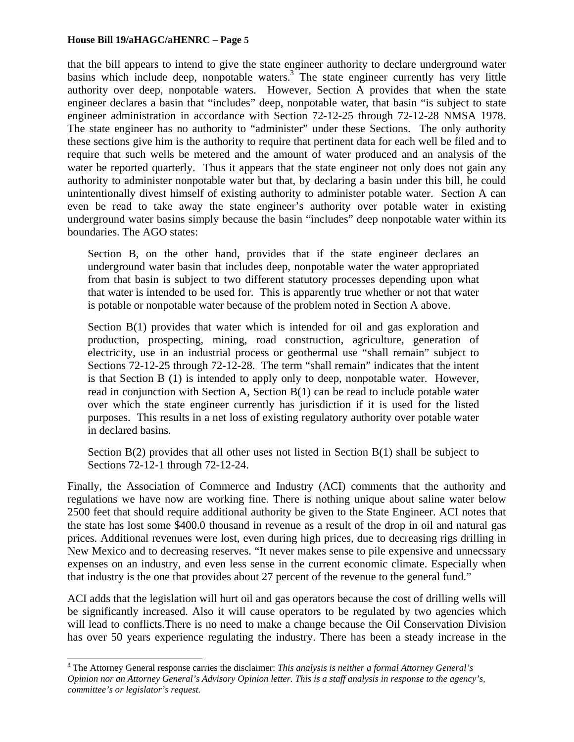that the bill appears to intend to give the state engineer authority to declare underground water basins which include deep, nonpotable waters.<sup>3</sup> The state engineer currently has very little authority over deep, nonpotable waters. However, Section A provides that when the state engineer declares a basin that "includes" deep, nonpotable water, that basin "is subject to state engineer administration in accordance with Section 72-12-25 through 72-12-28 NMSA 1978. The state engineer has no authority to "administer" under these Sections. The only authority these sections give him is the authority to require that pertinent data for each well be filed and to require that such wells be metered and the amount of water produced and an analysis of the water be reported quarterly. Thus it appears that the state engineer not only does not gain any authority to administer nonpotable water but that, by declaring a basin under this bill, he could unintentionally divest himself of existing authority to administer potable water. Section A can even be read to take away the state engineer's authority over potable water in existing underground water basins simply because the basin "includes" deep nonpotable water within its boundaries. The AGO states:

Section B, on the other hand, provides that if the state engineer declares an underground water basin that includes deep, nonpotable water the water appropriated from that basin is subject to two different statutory processes depending upon what that water is intended to be used for. This is apparently true whether or not that water is potable or nonpotable water because of the problem noted in Section A above.

Section B(1) provides that water which is intended for oil and gas exploration and production, prospecting, mining, road construction, agriculture, generation of electricity, use in an industrial process or geothermal use "shall remain" subject to Sections 72-12-25 through 72-12-28. The term "shall remain" indicates that the intent is that Section B (1) is intended to apply only to deep, nonpotable water. However, read in conjunction with Section A, Section B(1) can be read to include potable water over which the state engineer currently has jurisdiction if it is used for the listed purposes. This results in a net loss of existing regulatory authority over potable water in declared basins.

Section  $B(2)$  provides that all other uses not listed in Section  $B(1)$  shall be subject to Sections 72-12-1 through 72-12-24.

Finally, the Association of Commerce and Industry (ACI) comments that the authority and regulations we have now are working fine. There is nothing unique about saline water below 2500 feet that should require additional authority be given to the State Engineer. ACI notes that the state has lost some \$400.0 thousand in revenue as a result of the drop in oil and natural gas prices. Additional revenues were lost, even during high prices, due to decreasing rigs drilling in New Mexico and to decreasing reserves. "It never makes sense to pile expensive and unnecssary expenses on an industry, and even less sense in the current economic climate. Especially when that industry is the one that provides about 27 percent of the revenue to the general fund."

ACI adds that the legislation will hurt oil and gas operators because the cost of drilling wells will be significantly increased. Also it will cause operators to be regulated by two agencies which will lead to conflicts.There is no need to make a change because the Oil Conservation Division has over 50 years experience regulating the industry. There has been a steady increase in the

l

<sup>3</sup> The Attorney General response carries the disclaimer: *This analysis is neither a formal Attorney General's Opinion nor an Attorney General's Advisory Opinion letter. This is a staff analysis in response to the agency's, committee's or legislator's request.*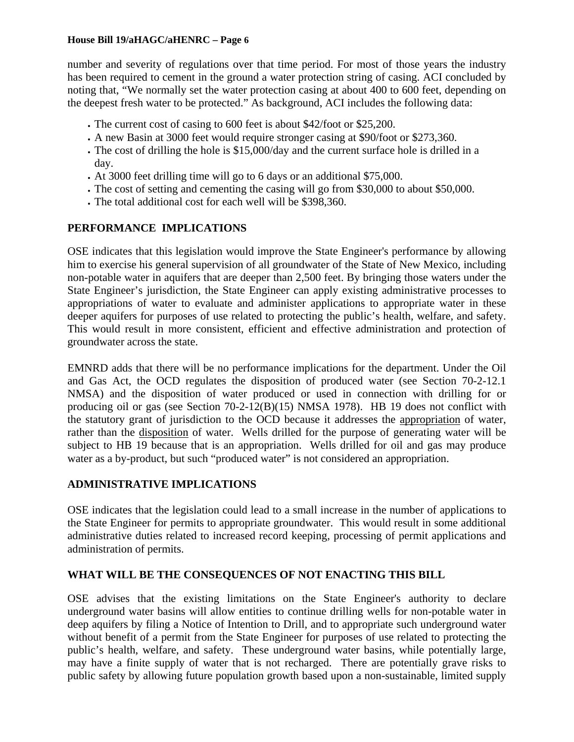number and severity of regulations over that time period. For most of those years the industry has been required to cement in the ground a water protection string of casing. ACI concluded by noting that, "We normally set the water protection casing at about 400 to 600 feet, depending on the deepest fresh water to be protected." As background, ACI includes the following data:

- The current cost of casing to 600 feet is about \$42/foot or \$25,200.
- A new Basin at 3000 feet would require stronger casing at \$90/foot or \$273,360.
- The cost of drilling the hole is \$15,000/day and the current surface hole is drilled in a day.
- At 3000 feet drilling time will go to 6 days or an additional \$75,000.
- The cost of setting and cementing the casing will go from \$30,000 to about \$50,000.
- The total additional cost for each well will be \$398,360.

# **PERFORMANCE IMPLICATIONS**

OSE indicates that this legislation would improve the State Engineer's performance by allowing him to exercise his general supervision of all groundwater of the State of New Mexico, including non-potable water in aquifers that are deeper than 2,500 feet. By bringing those waters under the State Engineer's jurisdiction, the State Engineer can apply existing administrative processes to appropriations of water to evaluate and administer applications to appropriate water in these deeper aquifers for purposes of use related to protecting the public's health, welfare, and safety. This would result in more consistent, efficient and effective administration and protection of groundwater across the state.

EMNRD adds that there will be no performance implications for the department. Under the Oil and Gas Act, the OCD regulates the disposition of produced water (see Section 70-2-12.1 NMSA) and the disposition of water produced or used in connection with drilling for or producing oil or gas (see Section 70-2-12(B)(15) NMSA 1978). HB 19 does not conflict with the statutory grant of jurisdiction to the OCD because it addresses the appropriation of water, rather than the disposition of water. Wells drilled for the purpose of generating water will be subject to HB 19 because that is an appropriation. Wells drilled for oil and gas may produce water as a by-product, but such "produced water" is not considered an appropriation.

### **ADMINISTRATIVE IMPLICATIONS**

OSE indicates that the legislation could lead to a small increase in the number of applications to the State Engineer for permits to appropriate groundwater. This would result in some additional administrative duties related to increased record keeping, processing of permit applications and administration of permits.

# **WHAT WILL BE THE CONSEQUENCES OF NOT ENACTING THIS BILL**

OSE advises that the existing limitations on the State Engineer's authority to declare underground water basins will allow entities to continue drilling wells for non-potable water in deep aquifers by filing a Notice of Intention to Drill, and to appropriate such underground water without benefit of a permit from the State Engineer for purposes of use related to protecting the public's health, welfare, and safety. These underground water basins, while potentially large, may have a finite supply of water that is not recharged. There are potentially grave risks to public safety by allowing future population growth based upon a non-sustainable, limited supply